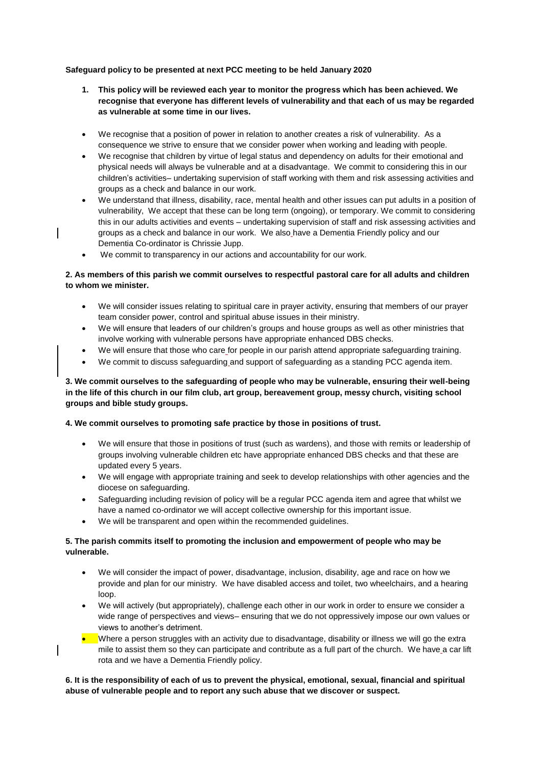**Safeguard policy to be presented at next PCC meeting to be held January 2020**

- **1. This policy will be reviewed each year to monitor the progress which has been achieved. We recognise that everyone has different levels of vulnerability and that each of us may be regarded as vulnerable at some time in our lives.**
- We recognise that a position of power in relation to another creates a risk of vulnerability. As a consequence we strive to ensure that we consider power when working and leading with people.
- We recognise that children by virtue of legal status and dependency on adults for their emotional and physical needs will always be vulnerable and at a disadvantage. We commit to considering this in our children's activities– undertaking supervision of staff working with them and risk assessing activities and groups as a check and balance in our work.
- We understand that illness, disability, race, mental health and other issues can put adults in a position of vulnerability, We accept that these can be long term (ongoing), or temporary. We commit to considering this in our adults activities and events – undertaking supervision of staff and risk assessing activities and groups as a check and balance in our work. We also have a Dementia Friendly policy and our Dementia Co-ordinator is Chrissie Jupp.
- We commit to transparency in our actions and accountability for our work.

# **2. As members of this parish we commit ourselves to respectful pastoral care for all adults and children to whom we minister.**

- We will consider issues relating to spiritual care in prayer activity, ensuring that members of our prayer team consider power, control and spiritual abuse issues in their ministry.
- We will ensure that leaders of our children's groups and house groups as well as other ministries that involve working with vulnerable persons have appropriate enhanced DBS checks.
- We will ensure that those who care for people in our parish attend appropriate safeguarding training.
- We commit to discuss safeguarding and support of safeguarding as a standing PCC agenda item.

## **3. We commit ourselves to the safeguarding of people who may be vulnerable, ensuring their well-being in the life of this church in our film club, art group, bereavement group, messy church, visiting school groups and bible study groups.**

#### **4. We commit ourselves to promoting safe practice by those in positions of trust.**

- We will ensure that those in positions of trust (such as wardens), and those with remits or leadership of groups involving vulnerable children etc have appropriate enhanced DBS checks and that these are updated every 5 years.
- We will engage with appropriate training and seek to develop relationships with other agencies and the diocese on safeguarding.
- Safeguarding including revision of policy will be a regular PCC agenda item and agree that whilst we have a named co-ordinator we will accept collective ownership for this important issue.
- We will be transparent and open within the recommended guidelines.

### **5. The parish commits itself to promoting the inclusion and empowerment of people who may be vulnerable.**

- We will consider the impact of power, disadvantage, inclusion, disability, age and race on how we provide and plan for our ministry. We have disabled access and toilet, two wheelchairs, and a hearing loop.
- We will actively (but appropriately), challenge each other in our work in order to ensure we consider a wide range of perspectives and views– ensuring that we do not oppressively impose our own values or views to another's detriment.
- Where a person struggles with an activity due to disadvantage, disability or illness we will go the extra mile to assist them so they can participate and contribute as a full part of the church. We have a car lift rota and we have a Dementia Friendly policy.

#### **6. It is the responsibility of each of us to prevent the physical, emotional, sexual, financial and spiritual abuse of vulnerable people and to report any such abuse that we discover or suspect.**